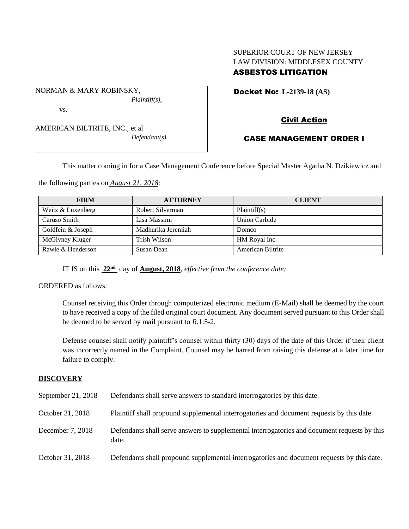## SUPERIOR COURT OF NEW JERSEY LAW DIVISION: MIDDLESEX COUNTY ASBESTOS LITIGATION

Docket No: **L-2139-18 (AS)** 

vs.

NORMAN & MARY ROBINSKY,

AMERICAN BILTRITE, INC., et al *Defendant(s).*

*Plaintiff(s),*

Civil Action

# CASE MANAGEMENT ORDER I

This matter coming in for a Case Management Conference before Special Master Agatha N. Dzikiewicz and

the following parties on *August 21, 2018:*

| <b>FIRM</b>       | <b>ATTORNEY</b>    | <b>CLIENT</b>     |
|-------------------|--------------------|-------------------|
| Weitz & Luxenberg | Robert Silverman   | Plaintiff(s)      |
| Caruso Smith      | Lisa Massimi       | Union Carbide     |
| Goldfein & Joseph | Madhurika Jeremiah | Domco             |
| McGivney Kluger   | Trish Wilson       | HM Royal Inc.     |
| Rawle & Henderson | Susan Dean         | American Biltrite |

IT IS on this **22nd** day of **August, 2018**, *effective from the conference date;*

ORDERED as follows:

Counsel receiving this Order through computerized electronic medium (E-Mail) shall be deemed by the court to have received a copy of the filed original court document. Any document served pursuant to this Order shall be deemed to be served by mail pursuant to *R*.1:5-2.

Defense counsel shall notify plaintiff's counsel within thirty (30) days of the date of this Order if their client was incorrectly named in the Complaint. Counsel may be barred from raising this defense at a later time for failure to comply.

## **DISCOVERY**

| September 21, 2018 | Defendants shall serve answers to standard interrogatories by this date.                              |
|--------------------|-------------------------------------------------------------------------------------------------------|
| October 31, 2018   | Plaintiff shall propound supplemental interrogatories and document requests by this date.             |
| December 7, 2018   | Defendants shall serve answers to supplemental interrogatories and document requests by this<br>date. |
| October 31, 2018   | Defendants shall propound supplemental interrogatories and document requests by this date.            |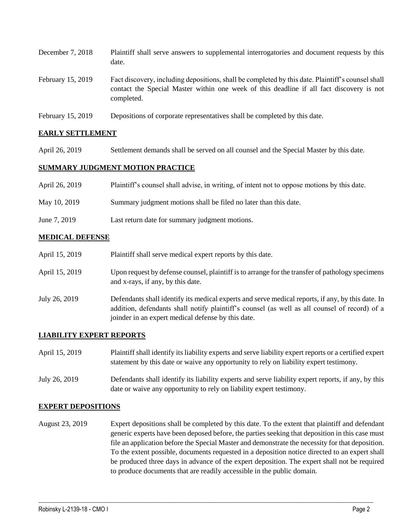| December 7, 2018  | Plaintiff shall serve answers to supplemental interrogatories and document requests by this<br>date.                                                                                                        |
|-------------------|-------------------------------------------------------------------------------------------------------------------------------------------------------------------------------------------------------------|
| February 15, 2019 | Fact discovery, including depositions, shall be completed by this date. Plaintiff's counsel shall<br>contact the Special Master within one week of this deadline if all fact discovery is not<br>completed. |
| February 15, 2019 | Depositions of corporate representatives shall be completed by this date.                                                                                                                                   |

#### **EARLY SETTLEMENT**

April 26, 2019 Settlement demands shall be served on all counsel and the Special Master by this date.

#### **SUMMARY JUDGMENT MOTION PRACTICE**

| April 26, 2019 | Plaintiff's counsel shall advise, in writing, of intent not to oppose motions by this date. |
|----------------|---------------------------------------------------------------------------------------------|
| May 10, 2019   | Summary judgment motions shall be filed no later than this date.                            |
| June 7, 2019   | Last return date for summary judgment motions.                                              |

#### **MEDICAL DEFENSE**

| April 15, 2019 | Plaintiff shall serve medical expert reports by this date.                                                                                                                                                                                               |
|----------------|----------------------------------------------------------------------------------------------------------------------------------------------------------------------------------------------------------------------------------------------------------|
| April 15, 2019 | Upon request by defense counsel, plaintiff is to arrange for the transfer of pathology specimens<br>and x-rays, if any, by this date.                                                                                                                    |
| July 26, 2019  | Defendants shall identify its medical experts and serve medical reports, if any, by this date. In<br>addition, defendants shall notify plaintiff's counsel (as well as all counsel of record) of a<br>joinder in an expert medical defense by this date. |

#### **LIABILITY EXPERT REPORTS**

| April 15, 2019 | Plaintiff shall identify its liability experts and serve liability expert reports or a certified expert<br>statement by this date or waive any opportunity to rely on liability expert testimony. |
|----------------|---------------------------------------------------------------------------------------------------------------------------------------------------------------------------------------------------|
| July 26, 2019  | Defendants shall identify its liability experts and serve liability expert reports, if any, by this<br>date or waive any opportunity to rely on liability expert testimony.                       |

#### **EXPERT DEPOSITIONS**

August 23, 2019 Expert depositions shall be completed by this date. To the extent that plaintiff and defendant generic experts have been deposed before, the parties seeking that deposition in this case must file an application before the Special Master and demonstrate the necessity for that deposition. To the extent possible, documents requested in a deposition notice directed to an expert shall be produced three days in advance of the expert deposition. The expert shall not be required to produce documents that are readily accessible in the public domain.

 $\_$  ,  $\_$  ,  $\_$  ,  $\_$  ,  $\_$  ,  $\_$  ,  $\_$  ,  $\_$  ,  $\_$  ,  $\_$  ,  $\_$  ,  $\_$  ,  $\_$  ,  $\_$  ,  $\_$  ,  $\_$  ,  $\_$  ,  $\_$  ,  $\_$  ,  $\_$  ,  $\_$  ,  $\_$  ,  $\_$  ,  $\_$  ,  $\_$  ,  $\_$  ,  $\_$  ,  $\_$  ,  $\_$  ,  $\_$  ,  $\_$  ,  $\_$  ,  $\_$  ,  $\_$  ,  $\_$  ,  $\_$  ,  $\_$  ,